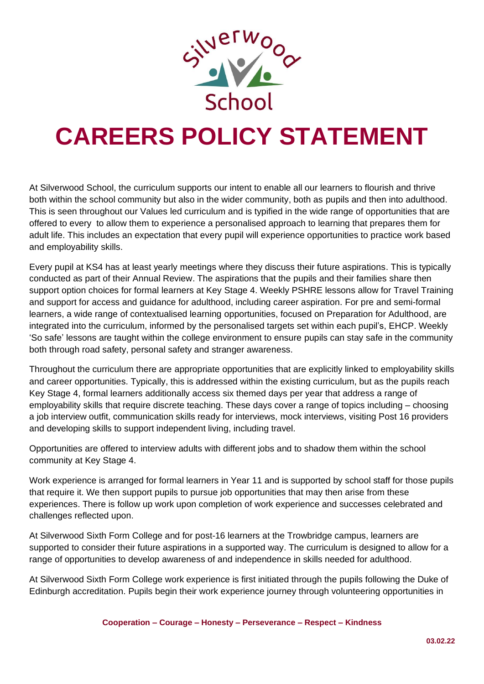

## **CAREERS POLICY STATEMENT**

At Silverwood School, the curriculum supports our intent to enable all our learners to flourish and thrive both within the school community but also in the wider community, both as pupils and then into adulthood. This is seen throughout our Values led curriculum and is typified in the wide range of opportunities that are offered to every to allow them to experience a personalised approach to learning that prepares them for adult life. This includes an expectation that every pupil will experience opportunities to practice work based and employability skills.

Every pupil at KS4 has at least yearly meetings where they discuss their future aspirations. This is typically conducted as part of their Annual Review. The aspirations that the pupils and their families share then support option choices for formal learners at Key Stage 4. Weekly PSHRE lessons allow for Travel Training and support for access and guidance for adulthood, including career aspiration. For pre and semi-formal learners, a wide range of contextualised learning opportunities, focused on Preparation for Adulthood, are integrated into the curriculum, informed by the personalised targets set within each pupil's, EHCP. Weekly 'So safe' lessons are taught within the college environment to ensure pupils can stay safe in the community both through road safety, personal safety and stranger awareness.

Throughout the curriculum there are appropriate opportunities that are explicitly linked to employability skills and career opportunities. Typically, this is addressed within the existing curriculum, but as the pupils reach Key Stage 4, formal learners additionally access six themed days per year that address a range of employability skills that require discrete teaching. These days cover a range of topics including – choosing a job interview outfit, communication skills ready for interviews, mock interviews, visiting Post 16 providers and developing skills to support independent living, including travel.

Opportunities are offered to interview adults with different jobs and to shadow them within the school community at Key Stage 4.

Work experience is arranged for formal learners in Year 11 and is supported by school staff for those pupils that require it. We then support pupils to pursue job opportunities that may then arise from these experiences. There is follow up work upon completion of work experience and successes celebrated and challenges reflected upon.

At Silverwood Sixth Form College and for post-16 learners at the Trowbridge campus, learners are supported to consider their future aspirations in a supported way. The curriculum is designed to allow for a range of opportunities to develop awareness of and independence in skills needed for adulthood.

At Silverwood Sixth Form College work experience is first initiated through the pupils following the Duke of Edinburgh accreditation. Pupils begin their work experience journey through volunteering opportunities in

**Cooperation – Courage – Honesty – Perseverance – Respect – Kindness**